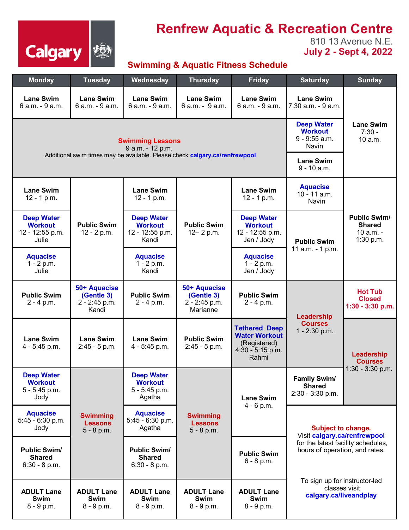

## **Renfrew Aquatic & Recreation Centre**

810 13 Avenue N.E. **July 2 - Sept 4, 2022** 

## **Swimming & Aquatic Fitness Schedule**

| <b>Monday</b>                                                   | <b>Tuesday</b>                                                              | Wednesday                                                       | <b>Thursday</b>                                         | <b>Friday</b>                                                                               | <b>Saturday</b>                                                                                                                                                                                        | <b>Sunday</b>                                                  |
|-----------------------------------------------------------------|-----------------------------------------------------------------------------|-----------------------------------------------------------------|---------------------------------------------------------|---------------------------------------------------------------------------------------------|--------------------------------------------------------------------------------------------------------------------------------------------------------------------------------------------------------|----------------------------------------------------------------|
| <b>Lane Swim</b><br>6 a.m. - 9 a.m.                             | <b>Lane Swim</b><br>6 a.m. - 9 a.m.                                         | <b>Lane Swim</b><br>6 a.m. - 9 a.m.                             | <b>Lane Swim</b><br>6 a.m. - 9 a.m.                     | <b>Lane Swim</b><br>6 a.m. - 9 a.m.                                                         | <b>Lane Swim</b><br>7:30 a.m. - 9 a.m.                                                                                                                                                                 |                                                                |
|                                                                 | <b>Swimming Lessons</b>                                                     | <b>Deep Water</b><br><b>Workout</b><br>9 - 9:55 a.m.<br>Navin   | <b>Lane Swim</b><br>$7:30 -$<br>10 a.m.                 |                                                                                             |                                                                                                                                                                                                        |                                                                |
|                                                                 | Additional swim times may be available. Please check calgary.ca/renfrewpool | <b>Lane Swim</b><br>$9 - 10$ a.m.                               |                                                         |                                                                                             |                                                                                                                                                                                                        |                                                                |
| <b>Lane Swim</b><br>$12 - 1 p.m.$                               | <b>Public Swim</b><br>12 - 2 p.m.                                           | <b>Lane Swim</b><br>12 - 1 p.m.                                 | <b>Public Swim</b><br>12– 2 p.m.                        | <b>Lane Swim</b><br>$12 - 1 p.m.$                                                           | <b>Aquacise</b><br>10 - 11 a.m.<br>Navin                                                                                                                                                               | <b>Public Swim/</b><br><b>Shared</b><br>10 a.m. -<br>1:30 p.m. |
| <b>Deep Water</b><br><b>Workout</b><br>12 - 12:55 p.m.<br>Julie |                                                                             | <b>Deep Water</b><br><b>Workout</b><br>12 - 12:55 p.m.<br>Kandi |                                                         | <b>Deep Water</b><br><b>Workout</b><br>12 - 12:55 p.m.<br>Jen / Jody                        | <b>Public Swim</b><br>11 a.m. - 1 p.m.                                                                                                                                                                 |                                                                |
| <b>Aquacise</b><br>$1 - 2 p.m.$<br>Julie                        |                                                                             | <b>Aquacise</b><br>$1 - 2 p.m.$<br>Kandi                        |                                                         | <b>Aquacise</b><br>$1 - 2 p.m.$<br>Jen / Jody                                               |                                                                                                                                                                                                        |                                                                |
| <b>Public Swim</b><br>$2 - 4 p.m.$                              | 50+ Aquacise<br>(Gentle 3)<br>2 - 2:45 p.m.<br>Kandi                        | <b>Public Swim</b><br>$2 - 4 p.m.$                              | 50+ Aquacise<br>(Gentle 3)<br>2 - 2:45 p.m.<br>Marianne | <b>Public Swim</b><br>$2 - 4 p.m.$                                                          | Leadership<br><b>Courses</b><br>1 - 2:30 p.m.                                                                                                                                                          | <b>Hot Tub</b><br><b>Closed</b><br>1:30 - 3:30 p.m.            |
| <b>Lane Swim</b><br>4 - 5:45 p.m.                               | <b>Lane Swim</b><br>2:45 - 5 p.m.                                           | <b>Lane Swim</b><br>4 - 5:45 p.m.                               | <b>Public Swim</b><br>$2:45 - 5$ p.m.                   | <b>Tethered Deep</b><br><b>Water Workout</b><br>(Registered)<br>$4:30 - 5:15$ p.m.<br>Rahmi |                                                                                                                                                                                                        | Leadership<br><b>Courses</b><br>$1:30 - 3:30$ p.m.             |
| <b>Deep Water</b><br><b>Workout</b><br>$5 - 5:45$ p.m.<br>Jody  |                                                                             | <b>Deep Water</b><br><b>Workout</b><br>5 - 5:45 p.m.<br>Agatha  | <b>Swimming</b><br><b>Lessons</b><br>$5 - 8 p.m.$       | <b>Lane Swim</b><br>$4 - 6 p.m.$                                                            | <b>Family Swim/</b><br><b>Shared</b><br>2:30 - 3:30 p.m.                                                                                                                                               |                                                                |
| <b>Aquacise</b><br>$5:45 - 6:30$ p.m.<br>Jody                   | <b>Swimming</b><br><b>Lessons</b><br>$5 - 8 p.m.$                           | <b>Aquacise</b><br>5:45 - 6:30 p.m.<br>Agatha                   |                                                         |                                                                                             | Subject to change.<br>Visit calgary.ca/renfrewpool<br>for the latest facility schedules,<br>hours of operation, and rates.<br>To sign up for instructor-led<br>classes visit<br>calgary.ca/liveandplay |                                                                |
| <b>Public Swim/</b><br><b>Shared</b><br>$6:30 - 8 p.m.$         |                                                                             | <b>Public Swim/</b><br><b>Shared</b><br>$6:30 - 8 p.m.$         |                                                         | <b>Public Swim</b><br>$6 - 8 p.m.$                                                          |                                                                                                                                                                                                        |                                                                |
| <b>ADULT Lane</b><br><b>Swim</b><br>$8 - 9 p.m.$                | <b>ADULT Lane</b><br>Swim<br>$8 - 9 p.m.$                                   | <b>ADULT Lane</b><br><b>Swim</b><br>$8 - 9$ p.m.                | <b>ADULT Lane</b><br>Swim<br>$8 - 9 p.m.$               | <b>ADULT Lane</b><br><b>Swim</b><br>$8 - 9 p.m.$                                            |                                                                                                                                                                                                        |                                                                |